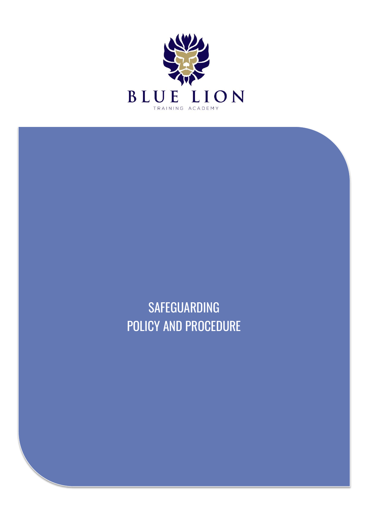

**SAFEGUARDING** POLICY AND PROCEDURE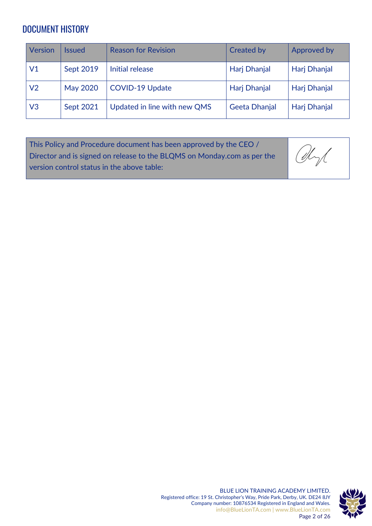# DOCUMENT HISTORY

| Version        | Issued          | <b>Reason for Revision</b>   | <b>Created by</b> | Approved by  |
|----------------|-----------------|------------------------------|-------------------|--------------|
| V1             | Sept 2019       | Initial release              | Harj Dhanjal      | Harj Dhanjal |
| V <sub>2</sub> | <b>May 2020</b> | <b>COVID-19 Update</b>       | Harj Dhanjal      | Harj Dhanjal |
| V <sub>3</sub> | Sept 2021       | Updated in line with new QMS | Geeta Dhanjal     | Harj Dhanjal |

| This Policy and Procedure document has been approved by the CEO /       |      |
|-------------------------------------------------------------------------|------|
| Director and is signed on release to the BLQMS on Monday.com as per the | Chyl |
| version control status in the above table:                              |      |

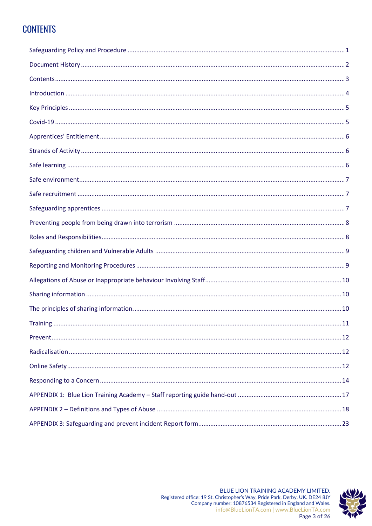# **CONTENTS**

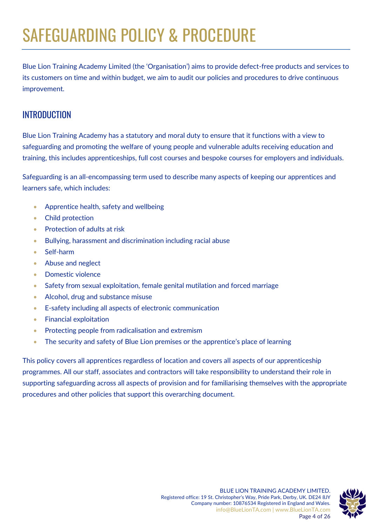# SAFEGUARDING POLICY & PROCEDURE

Blue Lion Training Academy Limited (the 'Organisation') aims to provide defect-free products and services to its customers on time and within budget, we aim to audit our policies and procedures to drive continuous improvement.

### **INTRODUCTION**

Blue Lion Training Academy has a statutory and moral duty to ensure that it functions with a view to safeguarding and promoting the welfare of young people and vulnerable adults receiving education and training, this includes apprenticeships, full cost courses and bespoke courses for employers and individuals.

Safeguarding is an all-encompassing term used to describe many aspects of keeping our apprentices and learners safe, which includes:

- Apprentice health, safety and wellbeing
- Child protection
- Protection of adults at risk
- Bullying, harassment and discrimination including racial abuse
- Self-harm
- Abuse and neglect
- Domestic violence
- Safety from sexual exploitation, female genital mutilation and forced marriage
- Alcohol, drug and substance misuse
- E-safety including all aspects of electronic communication
- Financial exploitation
- Protecting people from radicalisation and extremism
- The security and safety of Blue Lion premises or the apprentice's place of learning

This policy covers all apprentices regardless of location and covers all aspects of our apprenticeship programmes. All our staff, associates and contractors will take responsibility to understand their role in supporting safeguarding across all aspects of provision and for familiarising themselves with the appropriate procedures and other policies that support this overarching document.

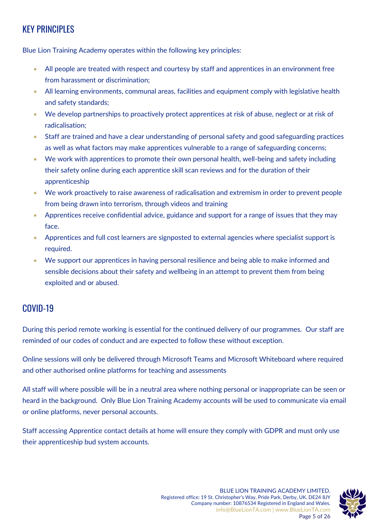# KEY PRINCIPLES

Blue Lion Training Academy operates within the following key principles:

- All people are treated with respect and courtesy by staff and apprentices in an environment free from harassment or discrimination;
- All learning environments, communal areas, facilities and equipment comply with legislative health and safety standards;
- We develop partnerships to proactively protect apprentices at risk of abuse, neglect or at risk of radicalisation;
- Staff are trained and have a clear understanding of personal safety and good safeguarding practices as well as what factors may make apprentices vulnerable to a range of safeguarding concerns;
- We work with apprentices to promote their own personal health, well-being and safety including their safety online during each apprentice skill scan reviews and for the duration of their apprenticeship
- We work proactively to raise awareness of radicalisation and extremism in order to prevent people from being drawn into terrorism, through videos and training
- Apprentices receive confidential advice, guidance and support for a range of issues that they may face.
- Apprentices and full cost learners are signposted to external agencies where specialist support is required.
- We support our apprentices in having personal resilience and being able to make informed and sensible decisions about their safety and wellbeing in an attempt to prevent them from being exploited and or abused.

# COVID-19

During this period remote working is essential for the continued delivery of our programmes. Our staff are reminded of our codes of conduct and are expected to follow these without exception.

Online sessions will only be delivered through Microsoft Teams and Microsoft Whiteboard where required and other authorised online platforms for teaching and assessments

All staff will where possible will be in a neutral area where nothing personal or inappropriate can be seen or heard in the background. Only Blue Lion Training Academy accounts will be used to communicate via email or online platforms, never personal accounts.

Staff accessing Apprentice contact details at home will ensure they comply with GDPR and must only use their apprenticeship bud system accounts.

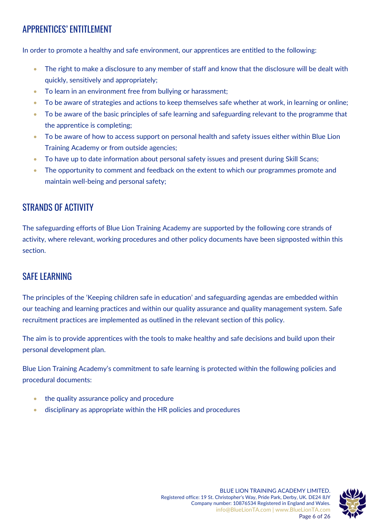# APPRENTICES' ENTITLEMENT

In order to promote a healthy and safe environment, our apprentices are entitled to the following:

- The right to make a disclosure to any member of staff and know that the disclosure will be dealt with quickly, sensitively and appropriately;
- To learn in an environment free from bullying or harassment;
- To be aware of strategies and actions to keep themselves safe whether at work, in learning or online;
- To be aware of the basic principles of safe learning and safeguarding relevant to the programme that the apprentice is completing;
- To be aware of how to access support on personal health and safety issues either within Blue Lion Training Academy or from outside agencies;
- To have up to date information about personal safety issues and present during Skill Scans;
- The opportunity to comment and feedback on the extent to which our programmes promote and maintain well-being and personal safety;

# STRANDS OF ACTIVITY

The safeguarding efforts of Blue Lion Training Academy are supported by the following core strands of activity, where relevant, working procedures and other policy documents have been signposted within this section.

### SAFE LEARNING

The principles of the 'Keeping children safe in education' and safeguarding agendas are embedded within our teaching and learning practices and within our quality assurance and quality management system. Safe recruitment practices are implemented as outlined in the relevant section of this policy.

The aim is to provide apprentices with the tools to make healthy and safe decisions and build upon their personal development plan.

Blue Lion Training Academy's commitment to safe learning is protected within the following policies and procedural documents:

- the quality assurance policy and procedure
- disciplinary as appropriate within the HR policies and procedures

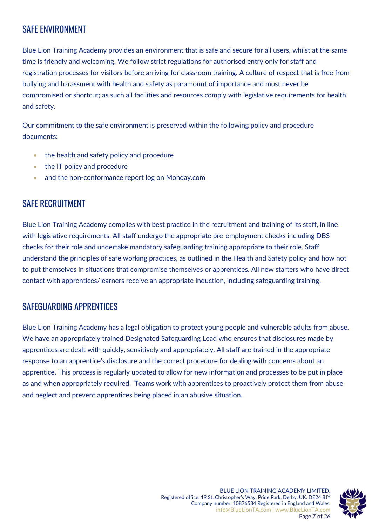# SAFE ENVIRONMENT

Blue Lion Training Academy provides an environment that is safe and secure for all users, whilst at the same time is friendly and welcoming. We follow strict regulations for authorised entry only for staff and registration processes for visitors before arriving for classroom training. A culture of respect that is free from bullying and harassment with health and safety as paramount of importance and must never be compromised or shortcut; as such all facilities and resources comply with legislative requirements for health and safety.

Our commitment to the safe environment is preserved within the following policy and procedure documents:

- the health and safety policy and procedure
- the IT policy and procedure
- and the non-conformance report log on Monday.com

### SAFE RECRUITMENT

Blue Lion Training Academy complies with best practice in the recruitment and training of its staff, in line with legislative requirements. All staff undergo the appropriate pre-employment checks including DBS checks for their role and undertake mandatory safeguarding training appropriate to their role. Staff understand the principles of safe working practices, as outlined in the Health and Safety policy and how not to put themselves in situations that compromise themselves or apprentices. All new starters who have direct contact with apprentices/learners receive an appropriate induction, including safeguarding training.

### SAFEGUARDING APPRENTICES

Blue Lion Training Academy has a legal obligation to protect young people and vulnerable adults from abuse. We have an appropriately trained Designated Safeguarding Lead who ensures that disclosures made by apprentices are dealt with quickly, sensitively and appropriately. All staff are trained in the appropriate response to an apprentice's disclosure and the correct procedure for dealing with concerns about an apprentice. This process is regularly updated to allow for new information and processes to be put in place as and when appropriately required. Teams work with apprentices to proactively protect them from abuse and neglect and prevent apprentices being placed in an abusive situation.

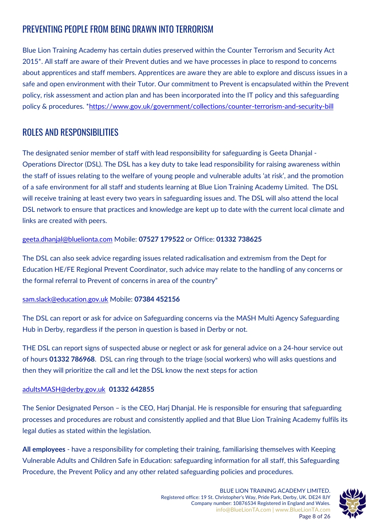# PREVENTING PEOPLE FROM BEING DRAWN INTO TERRORISM

Blue Lion Training Academy has certain duties preserved within the Counter Terrorism and Security Act 2015\*. All staff are aware of their Prevent duties and we have processes in place to respond to concerns about apprentices and staff members. Apprentices are aware they are able to explore and discuss issues in a safe and open environment with their Tutor. Our commitment to Prevent is encapsulated within the Prevent policy, risk assessment and action plan and has been incorporated into the IT policy and this safeguarding policy & procedures. [\\*https://www.gov.uk/government/collections/counter-terrorism-and-security-bill](https://www.gov.uk/government/collections/counter-terrorism-and-security-bill)

# ROLES AND RESPONSIBILITIES

The designated senior member of staff with lead responsibility for safeguarding is Geeta Dhanjal - Operations Director (DSL). The DSL has a key duty to take lead responsibility for raising awareness within the staff of issues relating to the welfare of young people and vulnerable adults 'at risk', and the promotion of a safe environment for all staff and students learning at Blue Lion Training Academy Limited. The DSL will receive training at least every two years in safeguarding issues and. The DSL will also attend the local DSL network to ensure that practices and knowledge are kept up to date with the current local climate and links are created with peers.

#### [geeta.dhanjal@bluelionta.com](mailto:geeta.dhanjal@bluelionta.com) Mobile: **07527 179522** or Office: **01332 738625**

The DSL can also seek advice regarding issues related radicalisation and extremism from the Dept for Education HE/FE Regional Prevent Coordinator, such advice may relate to the handling of any concerns or the formal referral to Prevent of concerns in area of the country"

#### [sam.slack@education.gov.uk](mailto:sam.slack@education.gov.uk) Mobile: **07384 452156**

The DSL can report or ask for advice on Safeguarding concerns via the MASH Multi Agency Safeguarding Hub in Derby, regardless if the person in question is based in Derby or not.

THE DSL can report signs of suspected abuse or neglect or ask for general advice on a 24-hour service out of hours **01332 786968**. DSL can ring through to the triage (social workers) who will asks questions and then they will prioritize the call and let the DSL know the next steps for action

#### [adultsMASH@derby.gov.uk](mailto:adultsMASH@derby.gov.uk) **01332 642855**

The Senior Designated Person – is the CEO, Harj Dhanjal. He is responsible for ensuring that safeguarding processes and procedures are robust and consistently applied and that Blue Lion Training Academy fulfils its legal duties as stated within the legislation.

**All employees** - have a responsibility for completing their training, familiarising themselves with Keeping Vulnerable Adults and Children Safe in Education: safeguarding information for all staff, this Safeguarding Procedure, the Prevent Policy and any other related safeguarding policies and procedures.

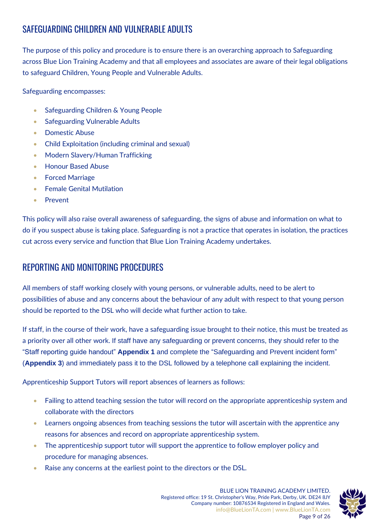# SAFEGUARDING CHILDREN AND VULNERABLE ADULTS

The purpose of this policy and procedure is to ensure there is an overarching approach to Safeguarding across Blue Lion Training Academy and that all employees and associates are aware of their legal obligations to safeguard Children, Young People and Vulnerable Adults.

Safeguarding encompasses:

- Safeguarding Children & Young People
- Safeguarding Vulnerable Adults
- Domestic Abuse
- Child Exploitation (including criminal and sexual)
- Modern Slavery/Human Trafficking
- Honour Based Abuse
- Forced Marriage
- Female Genital Mutilation
- Prevent

This policy will also raise overall awareness of safeguarding, the signs of abuse and information on what to do if you suspect abuse is taking place. Safeguarding is not a practice that operates in isolation, the practices cut across every service and function that Blue Lion Training Academy undertakes.

### REPORTING AND MONITORING PROCEDURES

All members of staff working closely with young persons, or vulnerable adults, need to be alert to possibilities of abuse and any concerns about the behaviour of any adult with respect to that young person should be reported to the DSL who will decide what further action to take.

If staff, in the course of their work, have a safeguarding issue brought to their notice, this must be treated as a priority over all other work. If staff have any safeguarding or prevent concerns, they should refer to the "Staff reporting guide handout" **Appendix 1** and complete the "Safeguarding and Prevent incident form" (**Appendix 3**) and immediately pass it to the DSL followed by a telephone call explaining the incident.

Apprenticeship Support Tutors will report absences of learners as follows:

- Failing to attend teaching session the tutor will record on the appropriate apprenticeship system and collaborate with the directors
- Learners ongoing absences from teaching sessions the tutor will ascertain with the apprentice any reasons for absences and record on appropriate apprenticeship system.
- The apprenticeship support tutor will support the apprentice to follow employer policy and procedure for managing absences.
- Raise any concerns at the earliest point to the directors or the DSL.

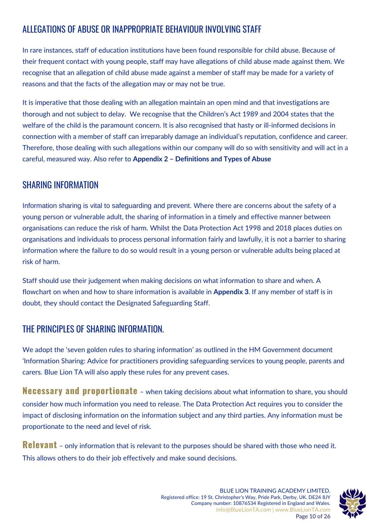# ALLEGATIONS OF ABUSE OR INAPPROPRIATE BEHAVIOUR INVOLVING STAFF

In rare instances, staff of education institutions have been found responsible for child abuse. Because of their frequent contact with young people, staff may have allegations of child abuse made against them. We recognise that an allegation of child abuse made against a member of staff may be made for a variety of reasons and that the facts of the allegation may or may not be true.

It is imperative that those dealing with an allegation maintain an open mind and that investigations are thorough and not subject to delay. We recognise that the Children's Act 1989 and 2004 states that the welfare of the child is the paramount concern. It is also recognised that hasty or ill-informed decisions in connection with a member of staff can irreparably damage an individual's reputation, confidence and career. Therefore, those dealing with such allegations within our company will do so with sensitivity and will act in a careful, measured way. Also refer to **Appendix 2 – Definitions and Types of Abuse** 

### SHARING INFORMATION

Information sharing is vital to safeguarding and prevent. Where there are concerns about the safety of a young person or vulnerable adult, the sharing of information in a timely and effective manner between organisations can reduce the risk of harm. Whilst the Data Protection Act 1998 and 2018 places duties on organisations and individuals to process personal information fairly and lawfully, it is not a barrier to sharing information where the failure to do so would result in a young person or vulnerable adults being placed at risk of harm.

Staff should use their judgement when making decisions on what information to share and when. A flowchart on when and how to share information is available in **Appendix 3**. If any member of staff is in doubt, they should contact the Designated Safeguarding Staff.

# THE PRINCIPLES OF SHARING INFORMATION.

We adopt the 'seven golden rules to sharing information' as outlined in the HM Government document 'Information Sharing: Advice for practitioners providing safeguarding services to young people, parents and carers. Blue Lion TA will also apply these rules for any prevent cases.

**Necessary and proportionate** – when taking decisions about what information to share, you should consider how much information you need to release. The Data Protection Act requires you to consider the impact of disclosing information on the information subject and any third parties. Any information must be proportionate to the need and level of risk.

**Relevant** – only information that is relevant to the purposes should be shared with those who need it. This allows others to do their job effectively and make sound decisions.

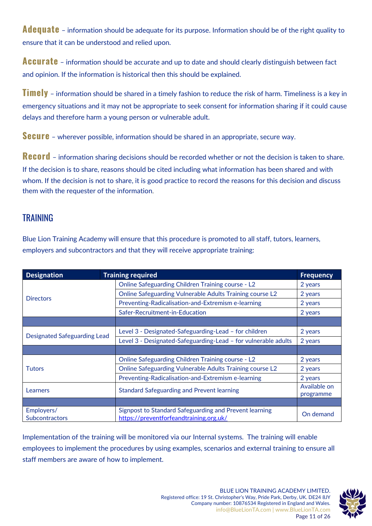**Adequate** – information should be adequate for its purpose. Information should be of the right quality to ensure that it can be understood and relied upon.

**Accurate** – information should be accurate and up to date and should clearly distinguish between fact and opinion. If the information is historical then this should be explained.

**Timely** – information should be shared in a timely fashion to reduce the risk of harm. Timeliness is a key in emergency situations and it may not be appropriate to seek consent for information sharing if it could cause delays and therefore harm a young person or vulnerable adult.

**Secure** – wherever possible, information should be shared in an appropriate, secure way.

**Record** – information sharing decisions should be recorded whether or not the decision is taken to share. If the decision is to share, reasons should be cited including what information has been shared and with whom. If the decision is not to share, it is good practice to record the reasons for this decision and discuss them with the requester of the information.

### TRAINING

Blue Lion Training Academy will ensure that this procedure is promoted to all staff, tutors, learners, employers and subcontractors and that they will receive appropriate training:

| <b>Designation</b>                  | <b>Training required</b>                                                                          |              |
|-------------------------------------|---------------------------------------------------------------------------------------------------|--------------|
|                                     | <b>Online Safeguarding Children Training course - L2</b>                                          | 2 years      |
| <b>Directors</b>                    | Online Safeguarding Vulnerable Adults Training course L2                                          | 2 years      |
|                                     | Preventing-Radicalisation-and-Extremism e-learning                                                | 2 years      |
|                                     | Safer-Recruitment-in-Education                                                                    | 2 years      |
|                                     |                                                                                                   |              |
|                                     | Level 3 - Designated-Safeguarding-Lead - for children                                             | 2 years      |
| <b>Designated Safeguarding Lead</b> | Level 3 - Designated-Safeguarding-Lead - for vulnerable adults                                    | 2 years      |
|                                     |                                                                                                   |              |
|                                     | <b>Online Safeguarding Children Training course - L2</b>                                          | 2 years      |
| <b>Tutors</b>                       | Online Safeguarding Vulnerable Adults Training course L2                                          | 2 years      |
|                                     | Preventing-Radicalisation-and-Extremism e-learning                                                | 2 years      |
| Learners                            | <b>Standard Safeguarding and Prevent learning</b>                                                 | Available on |
|                                     |                                                                                                   | programme    |
|                                     |                                                                                                   |              |
| Employers/<br><b>Subcontractors</b> | Signpost to Standard Safeguarding and Prevent learning<br>https://preventforfeandtraining.org.uk/ | On demand    |

Implementation of the training will be monitored via our Internal systems. The training will enable employees to implement the procedures by using examples, scenarios and external training to ensure all staff members are aware of how to implement.

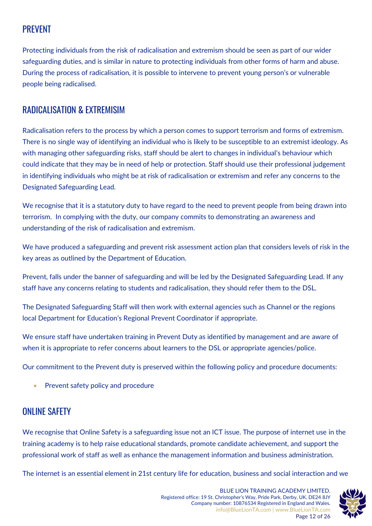# PREVENT

Protecting individuals from the risk of radicalisation and extremism should be seen as part of our wider safeguarding duties, and is similar in nature to protecting individuals from other forms of harm and abuse. During the process of radicalisation, it is possible to intervene to prevent young person's or vulnerable people being radicalised.

### RADICALISATION & EXTREMISIM

Radicalisation refers to the process by which a person comes to support terrorism and forms of extremism. There is no single way of identifying an individual who is likely to be susceptible to an extremist ideology. As with managing other safeguarding risks, staff should be alert to changes in individual's behaviour which could indicate that they may be in need of help or protection. Staff should use their professional judgement in identifying individuals who might be at risk of radicalisation or extremism and refer any concerns to the Designated Safeguarding Lead.

We recognise that it is a statutory duty to have regard to the need to prevent people from being drawn into terrorism. In complying with the duty, our company commits to demonstrating an awareness and understanding of the risk of radicalisation and extremism.

We have produced a safeguarding and prevent risk assessment action plan that considers levels of risk in the key areas as outlined by the Department of Education.

Prevent, falls under the banner of safeguarding and will be led by the Designated Safeguarding Lead. If any staff have any concerns relating to students and radicalisation, they should refer them to the DSL.

The Designated Safeguarding Staff will then work with external agencies such as Channel or the regions local Department for Education's Regional Prevent Coordinator if appropriate.

We ensure staff have undertaken training in Prevent Duty as identified by management and are aware of when it is appropriate to refer concerns about learners to the DSL or appropriate agencies/police.

Our commitment to the Prevent duty is preserved within the following policy and procedure documents:

Prevent safety policy and procedure

# ONI INF SAFFTY

We recognise that Online Safety is a safeguarding issue not an ICT issue. The purpose of internet use in the training academy is to help raise educational standards, promote candidate achievement, and support the professional work of staff as well as enhance the management information and business administration.

The internet is an essential element in 21st century life for education, business and social interaction and we

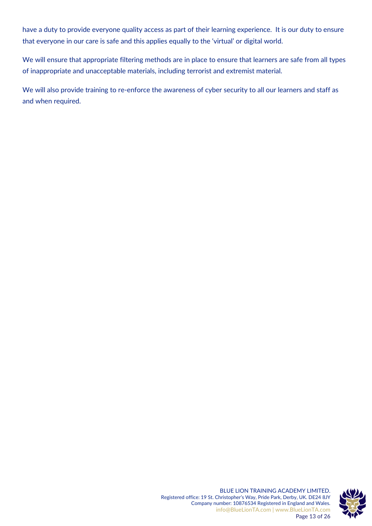have a duty to provide everyone quality access as part of their learning experience. It is our duty to ensure that everyone in our care is safe and this applies equally to the 'virtual' or digital world.

We will ensure that appropriate filtering methods are in place to ensure that learners are safe from all types of inappropriate and unacceptable materials, including terrorist and extremist material.

We will also provide training to re-enforce the awareness of cyber security to all our learners and staff as and when required.

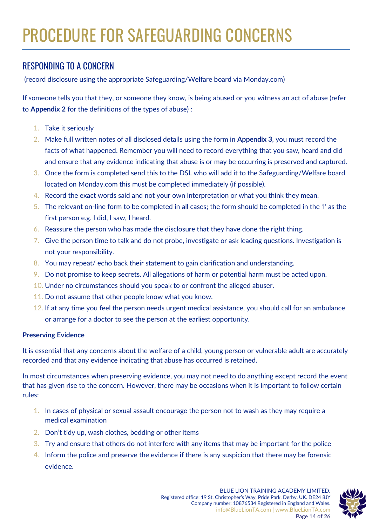# RESPONDING TO A CONCERN

(record disclosure using the appropriate Safeguarding/Welfare board via Monday.com)

If someone tells you that they, or someone they know, is being abused or you witness an act of abuse (refer to **Appendix 2** for the definitions of the types of abuse) :

- 1. Take it seriously
- 2. Make full written notes of all disclosed details using the form in **Appendix 3**, you must record the facts of what happened. Remember you will need to record everything that you saw, heard and did and ensure that any evidence indicating that abuse is or may be occurring is preserved and captured.
- 3. Once the form is completed send this to the DSL who will add it to the Safeguarding/Welfare board located on Monday.com this must be completed immediately (if possible).
- 4. Record the exact words said and not your own interpretation or what you think they mean.
- 5. The relevant on-line form to be completed in all cases; the form should be completed in the 'I' as the first person e.g. I did, I saw, I heard.
- 6. Reassure the person who has made the disclosure that they have done the right thing.
- 7. Give the person time to talk and do not probe, investigate or ask leading questions. Investigation is not your responsibility.
- 8. You may repeat/ echo back their statement to gain clarification and understanding.
- 9. Do not promise to keep secrets. All allegations of harm or potential harm must be acted upon.
- 10. Under no circumstances should you speak to or confront the alleged abuser.
- 11. Do not assume that other people know what you know.
- 12. If at any time you feel the person needs urgent medical assistance, you should call for an ambulance or arrange for a doctor to see the person at the earliest opportunity.

#### **Preserving Evidence**

It is essential that any concerns about the welfare of a child, young person or vulnerable adult are accurately recorded and that any evidence indicating that abuse has occurred is retained.

In most circumstances when preserving evidence, you may not need to do anything except record the event that has given rise to the concern. However, there may be occasions when it is important to follow certain rules:

- 1. In cases of physical or sexual assault encourage the person not to wash as they may require a medical examination
- 2. Don't tidy up, wash clothes, bedding or other items
- 3. Try and ensure that others do not interfere with any items that may be important for the police
- 4. Inform the police and preserve the evidence if there is any suspicion that there may be forensic evidence.

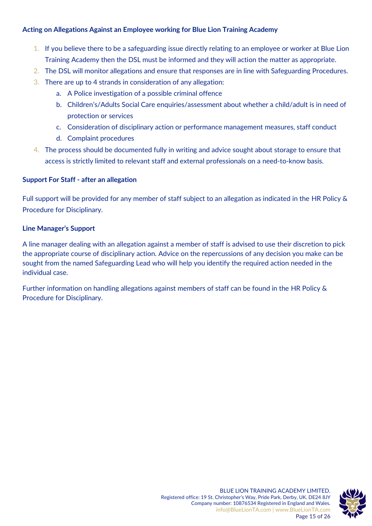#### **Acting on Allegations Against an Employee working for Blue Lion Training Academy**

- 1. If you believe there to be a safeguarding issue directly relating to an employee or worker at Blue Lion Training Academy then the DSL must be informed and they will action the matter as appropriate.
- 2. The DSL will monitor allegations and ensure that responses are in line with Safeguarding Procedures.
- 3. There are up to 4 strands in consideration of any allegation:
	- a. A Police investigation of a possible criminal offence
	- b. Children's/Adults Social Care enquiries/assessment about whether a child/adult is in need of protection or services
	- c. Consideration of disciplinary action or performance management measures, staff conduct
	- d. Complaint procedures
- 4. The process should be documented fully in writing and advice sought about storage to ensure that access is strictly limited to relevant staff and external professionals on a need-to-know basis.

#### **Support For Staff - after an allegation**

Full support will be provided for any member of staff subject to an allegation as indicated in the HR Policy & Procedure for Disciplinary.

#### **Line Manager's Support**

A line manager dealing with an allegation against a member of staff is advised to use their discretion to pick the appropriate course of disciplinary action. Advice on the repercussions of any decision you make can be sought from the named Safeguarding Lead who will help you identify the required action needed in the individual case.

Further information on handling allegations against members of staff can be found in the HR Policy & Procedure for Disciplinary.

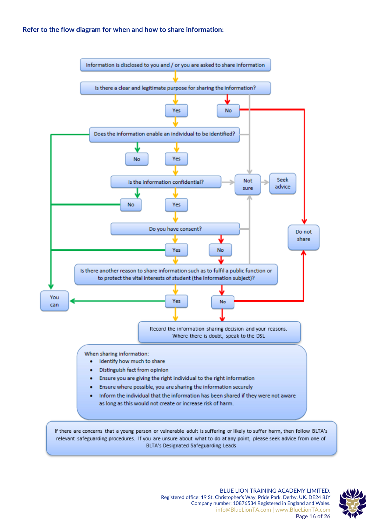#### **Refer to the flow diagram for when and how to share information:**



BLTA's Designated Safeguarding Leads

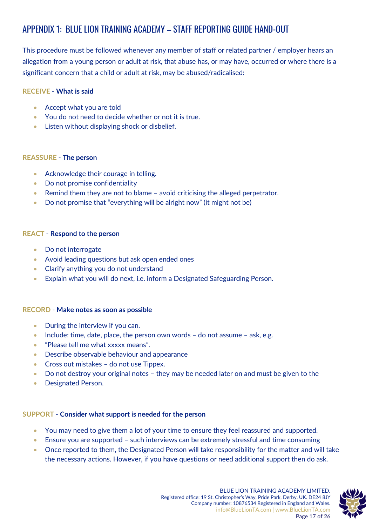# APPENDIX 1: BLUE LION TRAINING ACADEMY – STAFF REPORTING GUIDE HAND-OUT

This procedure must be followed whenever any member of staff or related partner / employer hears an allegation from a young person or adult at risk, that abuse has, or may have, occurred or where there is a significant concern that a child or adult at risk, may be abused/radicalised:

#### **RECEIVE** - **What is said**

- Accept what you are told
- You do not need to decide whether or not it is true.
- Listen without displaying shock or disbelief.

#### **REASSURE** - **The person**

- Acknowledge their courage in telling.
- Do not promise confidentiality
- Remind them they are not to blame avoid criticising the alleged perpetrator.
- Do not promise that "everything will be alright now" (it might not be)

#### **REACT** - **Respond to the person**

- Do not interrogate
- Avoid leading questions but ask open ended ones
- Clarify anything you do not understand
- Explain what you will do next, i.e. inform a Designated Safeguarding Person.

#### **RECORD** - **Make notes as soon as possible**

- During the interview if you can.
- Include: time, date, place, the person own words do not assume ask, e.g.
- "Please tell me what xxxxx means".
- Describe observable behaviour and appearance
- Cross out mistakes do not use Tippex.
- Do not destroy your original notes they may be needed later on and must be given to the
- Designated Person.

#### **SUPPORT** - **Consider what support is needed for the person**

- You may need to give them a lot of your time to ensure they feel reassured and supported.
- Ensure you are supported such interviews can be extremely stressful and time consuming
- Once reported to them, the Designated Person will take responsibility for the matter and will take the necessary actions. However, if you have questions or need additional support then do ask.

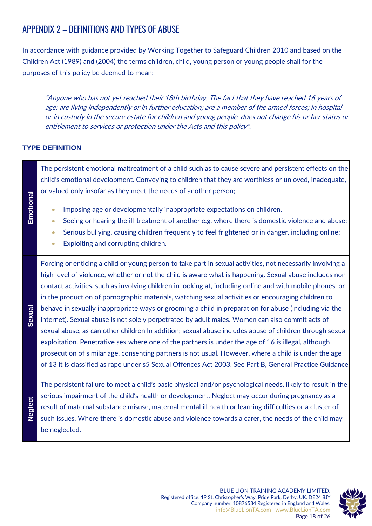# APPENDIX 2 – DEFINITIONS AND TYPES OF ABUSE

In accordance with guidance provided by Working Together to Safeguard Children 2010 and based on the Children Act (1989) and (2004) the terms children, child, young person or young people shall for the purposes of this policy be deemed to mean:

"Anyone who has not yet reached their 18th birthday. The fact that they have reached 16 years of age; are living independently or in further education; are a member of the armed forces; in hospital or in custody in the secure estate for children and young people, does not change his or her status or entitlement to services or protection under the Acts and this policy".

#### **TYPE DEFINITION**

**Emotional** The persistent emotional maltreatment of a child such as to cause severe and persistent effects on the child's emotional development. Conveying to children that they are worthless or unloved, inadequate, or valued only insofar as they meet the needs of another person; • Imposing age or developmentally inappropriate expectations on children. • Seeing or hearing the ill-treatment of another e.g. where there is domestic violence and abuse; • Serious bullying, causing children frequently to feel frightened or in danger, including online; Exploiting and corrupting children. **Sexual** Forcing or enticing a child or young person to take part in sexual activities, not necessarily involving a high level of violence, whether or not the child is aware what is happening. Sexual abuse includes noncontact activities, such as involving children in looking at, including online and with mobile phones, or in the production of pornographic materials, watching sexual activities or encouraging children to behave in sexually inappropriate ways or grooming a child in preparation for abuse (including via the internet). Sexual abuse is not solely perpetrated by adult males. Women can also commit acts of sexual abuse, as can other children In addition; sexual abuse includes abuse of children through sexual exploitation. Penetrative sex where one of the partners is under the age of 16 is illegal, although prosecution of similar age, consenting partners is not usual. However, where a child is under the age of 13 it is classified as rape under s5 Sexual Offences Act 2003. See Part B, General Practice Guidance **Neglect** The persistent failure to meet a child's basic physical and/or psychological needs, likely to result in the serious impairment of the child's health or development. Neglect may occur during pregnancy as a

result of maternal substance misuse, maternal mental ill health or learning difficulties or a cluster of such issues. Where there is domestic abuse and violence towards a carer, the needs of the child may be neglected.

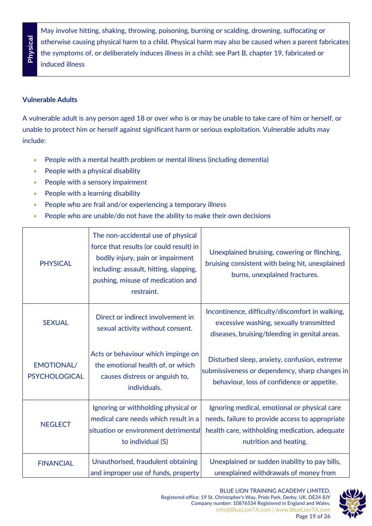**Physical**

May involve hitting, shaking, throwing, poisoning, burning or scalding, drowning, suffocating or otherwise causing physical harm to a child. Physical harm may also be caused when a parent fabricates the symptoms of, or deliberately induces illness in a child; see Part B, chapter 19, fabricated or induced illness

#### **Vulnerable Adults**

A vulnerable adult is any person aged 18 or over who is or may be unable to take care of him or herself, or unable to protect him or herself against significant harm or serious exploitation. Vulnerable adults may include:

- People with a mental health problem or mental illness (including dementia)
- People with a physical disability
- People with a sensory impairment
- People with a learning disability
- People who are frail and/or experiencing a temporary illness
- People who are unable/do not have the ability to make their own decisions

| <b>PHYSICAL</b>                           | The non-accidental use of physical<br>force that results (or could result) in<br>bodily injury, pain or impairment<br>including: assault, hitting, slapping,<br>pushing, misuse of medication and<br>restraint. | Unexplained bruising, cowering or flinching,<br>bruising consistent with being hit, unexplained<br>burns, unexplained fractures.                                           |
|-------------------------------------------|-----------------------------------------------------------------------------------------------------------------------------------------------------------------------------------------------------------------|----------------------------------------------------------------------------------------------------------------------------------------------------------------------------|
| <b>SEXUAL</b>                             | Direct or indirect involvement in<br>sexual activity without consent.                                                                                                                                           | Incontinence, difficulty/discomfort in walking,<br>excessive washing, sexually transmitted<br>diseases, bruising/bleeding in genital areas.                                |
| <b>EMOTIONAL/</b><br><b>PSYCHOLOGICAL</b> | Acts or behaviour which impinge on<br>the emotional health of, or which<br>causes distress or anguish to,<br>individuals.                                                                                       | Disturbed sleep, anxiety, confusion, extreme<br>submissiveness or dependency, sharp changes in<br>behaviour, loss of confidence or appetite.                               |
| <b>NEGLECT</b>                            | Ignoring or withholding physical or<br>medical care needs which result in a<br>situation or environment detrimental<br>to individual (S)                                                                        | Ignoring medical, emotional or physical care<br>needs, failure to provide access to appropriate<br>health care, withholding medication, adequate<br>nutrition and heating. |
| <b>FINANCIAL</b>                          | Unauthorised, fraudulent obtaining<br>and improper use of funds, property                                                                                                                                       | Unexplained or sudden inability to pay bills,<br>unexplained withdrawals of money from                                                                                     |



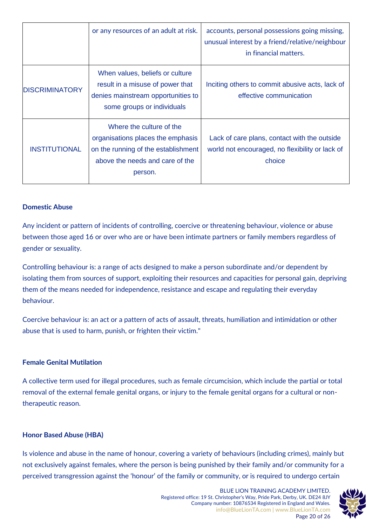|                       | or any resources of an adult at risk.                                                                                                              | accounts, personal possessions going missing,<br>unusual interest by a friend/relative/neighbour<br>in financial matters. |
|-----------------------|----------------------------------------------------------------------------------------------------------------------------------------------------|---------------------------------------------------------------------------------------------------------------------------|
| <b>DISCRIMINATORY</b> | When values, beliefs or culture<br>result in a misuse of power that<br>denies mainstream opportunities to<br>some groups or individuals            | Inciting others to commit abusive acts, lack of<br>effective communication                                                |
| <b>INSTITUTIONAL</b>  | Where the culture of the<br>organisations places the emphasis<br>on the running of the establishment<br>above the needs and care of the<br>person. | Lack of care plans, contact with the outside<br>world not encouraged, no flexibility or lack of<br>choice                 |

#### **Domestic Abuse**

Any incident or pattern of incidents of controlling, coercive or threatening behaviour, violence or abuse between those aged 16 or over who are or have been intimate partners or family members regardless of gender or sexuality.

Controlling behaviour is: a range of acts designed to make a person subordinate and/or dependent by isolating them from sources of support, exploiting their resources and capacities for personal gain, depriving them of the means needed for independence, resistance and escape and regulating their everyday behaviour.

Coercive behaviour is: an act or a pattern of acts of assault, threats, humiliation and intimidation or other abuse that is used to harm, punish, or frighten their victim."

#### **Female Genital Mutilation**

A collective term used for illegal procedures, such as female circumcision, which include the partial or total removal of the external female genital organs, or injury to the female genital organs for a cultural or nontherapeutic reason.

#### **Honor Based Abuse (HBA)**

Is violence and abuse in the name of honour, covering a variety of behaviours (including crimes), mainly but not exclusively against females, where the person is being punished by their family and/or community for a perceived transgression against the 'honour' of the family or community, or is required to undergo certain

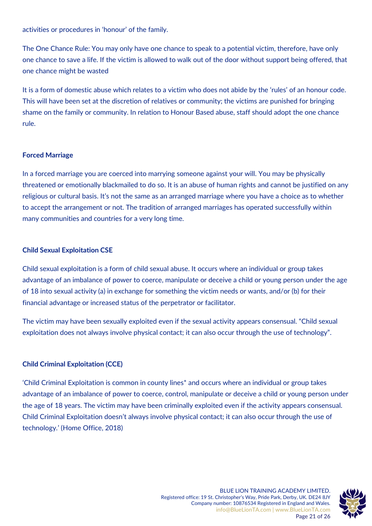activities or procedures in 'honour' of the family.

The One Chance Rule: You may only have one chance to speak to a potential victim, therefore, have only one chance to save a life. If the victim is allowed to walk out of the door without support being offered, that one chance might be wasted

It is a form of domestic abuse which relates to a victim who does not abide by the 'rules' of an honour code. This will have been set at the discretion of relatives or community; the victims are punished for bringing shame on the family or community. In relation to Honour Based abuse, staff should adopt the one chance rule.

#### **Forced Marriage**

In a forced marriage you are coerced into marrying someone against your will. You may be physically threatened or emotionally blackmailed to do so. It is an abuse of human rights and cannot be justified on any religious or cultural basis. It's not the same as an arranged marriage where you have a choice as to whether to accept the arrangement or not. The tradition of arranged marriages has operated successfully within many communities and countries for a very long time.

#### **Child Sexual Exploitation CSE**

Child sexual exploitation is a form of child sexual abuse. It occurs where an individual or group takes advantage of an imbalance of power to coerce, manipulate or deceive a child or young person under the age of 18 into sexual activity (a) in exchange for something the victim needs or wants, and/or (b) for their financial advantage or increased status of the perpetrator or facilitator.

The victim may have been sexually exploited even if the sexual activity appears consensual. "Child sexual exploitation does not always involve physical contact; it can also occur through the use of technology".

#### **Child Criminal Exploitation (CCE)**

'Child Criminal Exploitation is common in county lines\* and occurs where an individual or group takes advantage of an imbalance of power to coerce, control, manipulate or deceive a child or young person under the age of 18 years. The victim may have been criminally exploited even if the activity appears consensual. Child Criminal Exploitation doesn't always involve physical contact; it can also occur through the use of technology.' (Home Office, 2018)

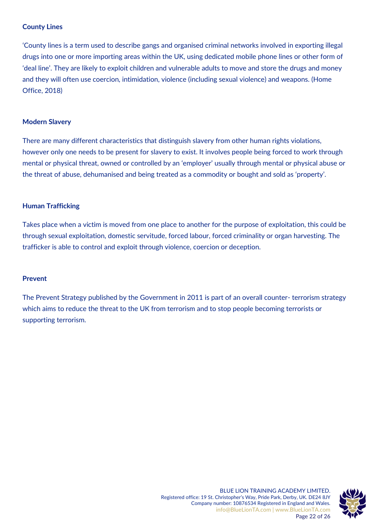#### **County Lines**

'County lines is a term used to describe gangs and organised criminal networks involved in exporting illegal drugs into one or more importing areas within the UK, using dedicated mobile phone lines or other form of 'deal line'. They are likely to exploit children and vulnerable adults to move and store the drugs and money and they will often use coercion, intimidation, violence (including sexual violence) and weapons. (Home Office, 2018)

#### **Modern Slavery**

There are many different characteristics that distinguish slavery from other human rights violations, however only one needs to be present for slavery to exist. It involves people being forced to work through mental or physical threat, owned or controlled by an 'employer' usually through mental or physical abuse or the threat of abuse, dehumanised and being treated as a commodity or bought and sold as 'property'.

#### **Human Trafficking**

Takes place when a victim is moved from one place to another for the purpose of exploitation, this could be through sexual exploitation, domestic servitude, forced labour, forced criminality or organ harvesting. The trafficker is able to control and exploit through violence, coercion or deception.

#### **Prevent**

The Prevent Strategy published by the Government in 2011 is part of an overall counter- terrorism strategy which aims to reduce the threat to the UK from terrorism and to stop people becoming terrorists or supporting terrorism.



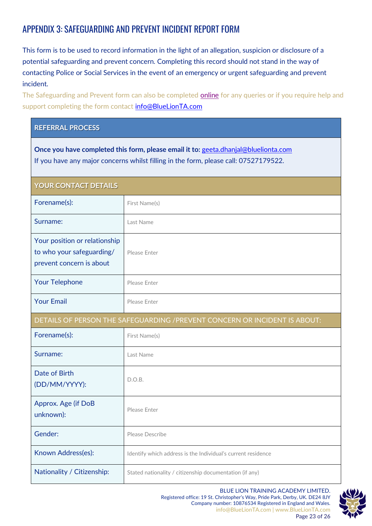# APPENDIX 3: SAFEGUARDING AND PREVENT INCIDENT REPORT FORM

This form is to be used to record information in the light of an allegation, suspicion or disclosure of a potential safeguarding and prevent concern. Completing this record should not stand in the way of contacting Police or Social Services in the event of an emergency or urgent safeguarding and prevent incident.

The Safeguarding and Prevent form can also be completed **online** for any queries or if you require help and support completing the form contact [info@BlueLionTA.com](mailto:info@BlueLionTA.com)

#### **REFERRAL PROCESS**

**Once you have completed this form, please email it to:** [geeta.dhanjal@bluelionta.com](mailto:geeta.dhanjal@bluelionta.com)  If you have any major concerns whilst filling in the form, please call: 07527179522.

| <b>YOUR CONTACT DETAILS</b>                                                            |                                                              |  |
|----------------------------------------------------------------------------------------|--------------------------------------------------------------|--|
| Forename(s):                                                                           | First Name(s)                                                |  |
| Surname:                                                                               | Last Name                                                    |  |
| Your position or relationship<br>to who your safeguarding/<br>prevent concern is about | Please Enter                                                 |  |
| <b>Your Telephone</b>                                                                  | Please Enter                                                 |  |
| <b>Your Email</b>                                                                      | Please Enter                                                 |  |
| DETAILS OF PERSON THE SAFEGUARDING / PREVENT CONCERN OR INCIDENT IS ABOUT:             |                                                              |  |
| Forename(s):                                                                           | First Name(s)                                                |  |
| Surname:                                                                               | Last Name                                                    |  |
| Date of Birth<br>(DD/MM/YYYY):                                                         | D.O.B.                                                       |  |
| Approx. Age (if DoB<br>unknown):                                                       | Please Enter                                                 |  |
| Gender:                                                                                | Please Describe                                              |  |
| Known Address(es):                                                                     | Identify which address is the Individual's current residence |  |
| Nationality / Citizenship:                                                             | Stated nationality / citizenship documentation (if any)      |  |

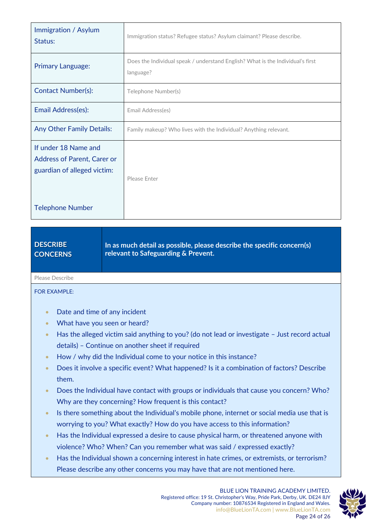| Immigration / Asylum<br>Status:                                                           | Immigration status? Refugee status? Asylum claimant? Please describe.                       |
|-------------------------------------------------------------------------------------------|---------------------------------------------------------------------------------------------|
| <b>Primary Language:</b>                                                                  | Does the Individual speak / understand English? What is the Individual's first<br>language? |
| <b>Contact Number(s):</b>                                                                 | Telephone Number(s)                                                                         |
| Email Address(es):                                                                        | Email Address(es)                                                                           |
| <b>Any Other Family Details:</b>                                                          | Family makeup? Who lives with the Individual? Anything relevant.                            |
| If under 18 Name and<br><b>Address of Parent, Carer or</b><br>guardian of alleged victim: | Please Enter                                                                                |
| <b>Telephone Number</b>                                                                   |                                                                                             |

**DESCRIBE CONCERNS In as much detail as possible, please describe the specific concern(s) relevant to Safeguarding & Prevent.**

Please Describe

FOR EXAMPLE:

- Date and time of any incident
- What have you seen or heard?
- Has the alleged victim said anything to you? (do not lead or investigate Just record actual details) – Continue on another sheet if required
- How / why did the Individual come to your notice in this instance?
- Does it involve a specific event? What happened? Is it a combination of factors? Describe them.
- Does the Individual have contact with groups or individuals that cause you concern? Who? Why are they concerning? How frequent is this contact?
- Is there something about the Individual's mobile phone, internet or social media use that is worrying to you? What exactly? How do you have access to this information?
- Has the Individual expressed a desire to cause physical harm, or threatened anyone with violence? Who? When? Can you remember what was said / expressed exactly?
- Has the Individual shown a concerning interest in hate crimes, or extremists, or terrorism? Please describe any other concerns you may have that are not mentioned here.

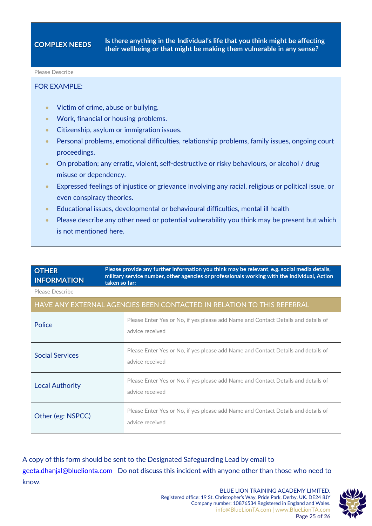#### Please Describe

#### FOR EXAMPLE:

- Victim of crime, abuse or bullying.
- Work, financial or housing problems.
- Citizenship, asylum or immigration issues.
- Personal problems, emotional difficulties, relationship problems, family issues, ongoing court proceedings.
- On probation; any erratic, violent, self-destructive or risky behaviours, or alcohol / drug misuse or dependency.
- Expressed feelings of injustice or grievance involving any racial, religious or political issue, or even conspiracy theories.
- Educational issues, developmental or behavioural difficulties, mental ill health
- Please describe any other need or potential vulnerability you think may be present but which is not mentioned here.

| <b>OTHER</b><br><b>INFORMATION</b>                                     | taken so far: | Please provide any further information you think may be relevant, e.g. social media details,<br>military service number, other agencies or professionals working with the Individual, Action |
|------------------------------------------------------------------------|---------------|----------------------------------------------------------------------------------------------------------------------------------------------------------------------------------------------|
| Please Describe                                                        |               |                                                                                                                                                                                              |
| HAVE ANY EXTERNAL AGENCIES BEEN CONTACTED IN RELATION TO THIS REFERRAL |               |                                                                                                                                                                                              |
| Police                                                                 |               | Please Enter Yes or No, if yes please add Name and Contact Details and details of<br>advice received                                                                                         |
| <b>Social Services</b>                                                 |               | Please Enter Yes or No, if yes please add Name and Contact Details and details of<br>advice received                                                                                         |
| <b>Local Authority</b>                                                 |               | Please Enter Yes or No, if yes please add Name and Contact Details and details of<br>advice received                                                                                         |
| Other (eg: NSPCC)                                                      |               | Please Enter Yes or No, if yes please add Name and Contact Details and details of<br>advice received                                                                                         |

A copy of this form should be sent to the Designated Safeguarding Lead by email to [geeta.dhanjal@bluelionta.com](mailto:geeta.dhanjal@bluelionta.com) Do not discuss this incident with anyone other than those who need to know.